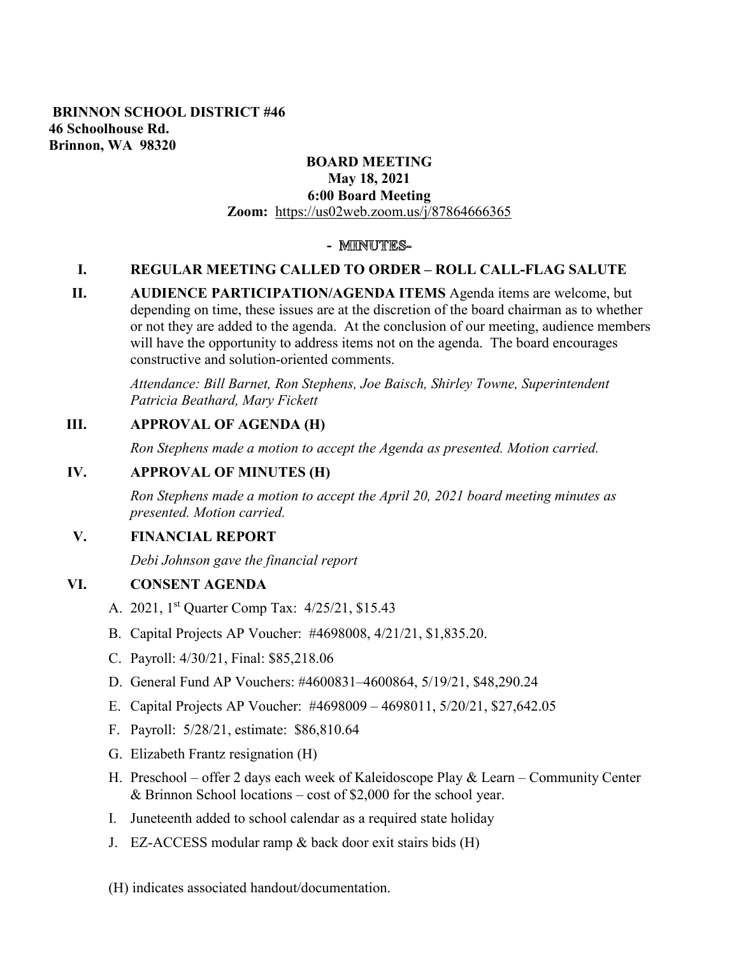### **BRINNON SCHOOL DISTRICT #46 46 Schoolhouse Rd. Brinnon, WA 98320**

# **BOARD MEETING**

#### **May 18, 2021 6:00 Board Meeting Zoom:** <https://us02web.zoom.us/j/87864666365>

# - **MINUTES-**

# **I. REGULAR MEETING CALLED TO ORDER – ROLL CALL-FLAG SALUTE**

**II. AUDIENCE PARTICIPATION/AGENDA ITEMS** Agenda items are welcome, but depending on time, these issues are at the discretion of the board chairman as to whether or not they are added to the agenda. At the conclusion of our meeting, audience members will have the opportunity to address items not on the agenda. The board encourages constructive and solution-oriented comments.

*Attendance: Bill Barnet, Ron Stephens, Joe Baisch, Shirley Towne, Superintendent Patricia Beathard, Mary Fickett* 

# **III. APPROVAL OF AGENDA (H)**

*Ron Stephens made a motion to accept the Agenda as presented. Motion carried.* 

# **IV. APPROVAL OF MINUTES (H)**

*Ron Stephens made a motion to accept the April 20, 2021 board meeting minutes as presented. Motion carried.* 

# **V. FINANCIAL REPORT**

*Debi Johnson gave the financial report* 

### **VI. CONSENT AGENDA**

- A. 2021, 1st Quarter Comp Tax: 4/25/21, \$15.43
- B. Capital Projects AP Voucher: #4698008, 4/21/21, \$1,835.20.
- C. Payroll: 4/30/21, Final: \$85,218.06
- D. General Fund AP Vouchers: #4600831–4600864, 5/19/21, \$48,290.24
- E. Capital Projects AP Voucher: #4698009 4698011, 5/20/21, \$27,642.05
- F. Payroll: 5/28/21, estimate: \$86,810.64
- G. Elizabeth Frantz resignation (H)
- H. Preschool offer 2 days each week of Kaleidoscope Play & Learn Community Center & Brinnon School locations – cost of \$2,000 for the school year.
- I. Juneteenth added to school calendar as a required state holiday
- J. EZ-ACCESS modular ramp & back door exit stairs bids (H)
- (H) indicates associated handout/documentation.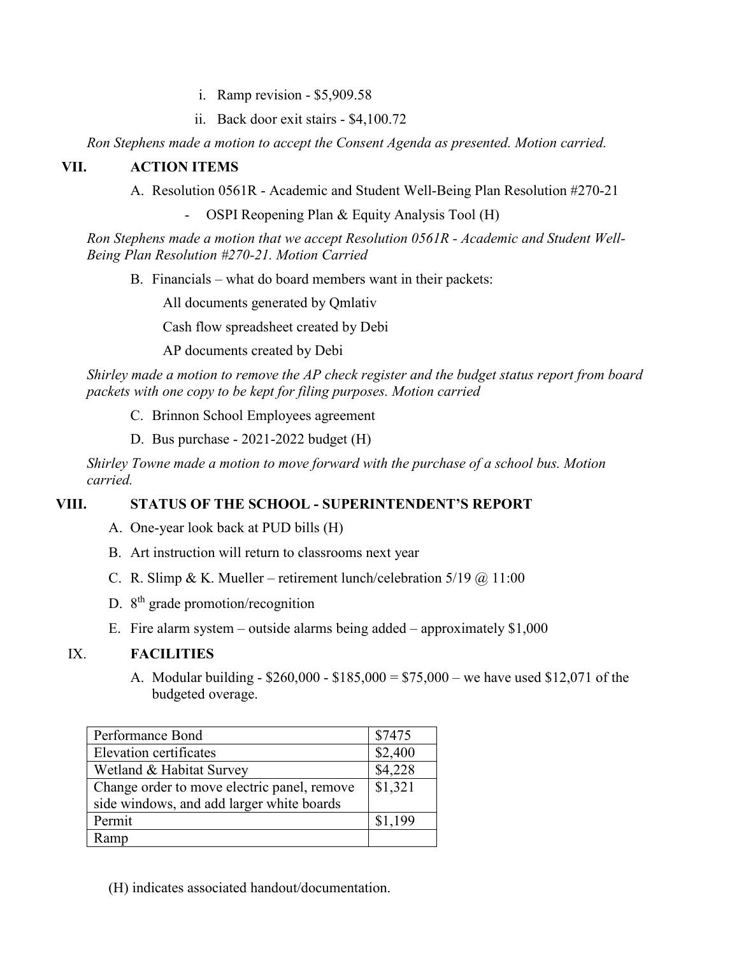- i. Ramp revision \$5,909.58
- ii. Back door exit stairs \$4,100.72

*Ron Stephens made a motion to accept the Consent Agenda as presented. Motion carried.*

#### **VII. ACTION ITEMS**

A. Resolution 0561R - Academic and Student Well-Being Plan Resolution #270-21

OSPI Reopening Plan & Equity Analysis Tool (H)

*Ron Stephens made a motion that we accept Resolution 0561R - Academic and Student Well-Being Plan Resolution #270-21. Motion Carried*

B. Financials – what do board members want in their packets:

All documents generated by Qmlativ

Cash flow spreadsheet created by Debi

AP documents created by Debi

*Shirley made a motion to remove the AP check register and the budget status report from board packets with one copy to be kept for filing purposes. Motion carried*

- C. Brinnon School Employees agreement
- D. Bus purchase 2021-2022 budget (H)

*Shirley Towne made a motion to move forward with the purchase of a school bus. Motion carried.*

### **VIII. STATUS OF THE SCHOOL - SUPERINTENDENT'S REPORT**

- A. One-year look back at PUD bills (H)
- B. Art instruction will return to classrooms next year
- C. R. Slimp & K. Mueller retirement lunch/celebration  $5/19$  @  $11:00$
- D.  $8<sup>th</sup>$  grade promotion/recognition
- E. Fire alarm system outside alarms being added approximately \$1,000

### IX. **FACILITIES**

A. Modular building - \$260,000 - \$185,000 = \$75,000 – we have used \$12,071 of the budgeted overage.

| Performance Bond                            | \$7475              |
|---------------------------------------------|---------------------|
| Elevation certificates                      | \$2,400             |
| Wetland & Habitat Survey                    | \$4,228             |
| Change order to move electric panel, remove | $\overline{$1,321}$ |
| side windows, and add larger white boards   |                     |
| Permit                                      | \$1,199             |
| Ramp                                        |                     |

(H) indicates associated handout/documentation.